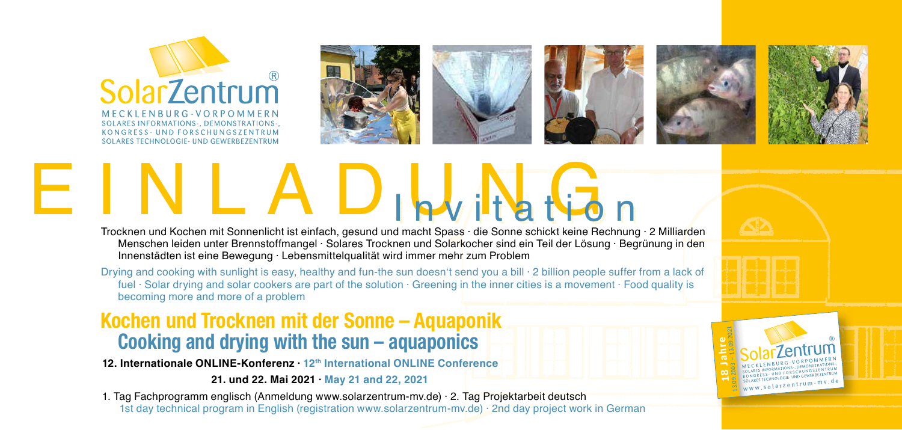

MECKLENBURG-VORPOMMERN **SOLARES INFORMATIONS -. DEMONSTRATIONS -.** KONGRESS - UND FORSCHUNGSZENTRUM SOLARES TECHNOLOGIE- UND GEWERREZENTRUM









**18 Jahre**<br>13.09.2003 – 13.09.2021

www.solarzentrum-mv.de



# EINLAD<sub>IPW</sub>I Hat Gonne Sonnenlicht ist einfach, gesund und macht Spass · die Sonne schickt keine Rechnung · 2 Milliarden

Menschen leiden unter Brennstoffmangel · Solares Trocknen und Solarkocher sind ein Teil der Lösung · Begrünung in den Innenstädten ist eine Bewegung · Lebensmittelqualität wird immer mehr zum Problem

Drying and cooking with sunlight is easy, healthy and fun-the sun doesn't send you a bill  $\cdot$  2 billion people suffer from a lack of fuel · Solar drying and solar cookers are part of the solution · Greening in the inner cities is a movement · Food quality is becoming more and more of a problem

### **Kochen und Trocknen mit der Sonne – Aquaponik Cooking and drying with the sun – aquaponics**

**12. Internationale ONLINE-Konferenz · 12th International ONLINE Conference**

 **21. und 22. Mai 2021 · May 21 and 22, 2021**

1. Tag Fachprogramm englisch (Anmeldung www.solarzentrum-mv.de) · 2. Tag Projektarbeit deutsch 1st day technical program in English (registration www.solarzentrum-mv.de) · 2nd day project work in German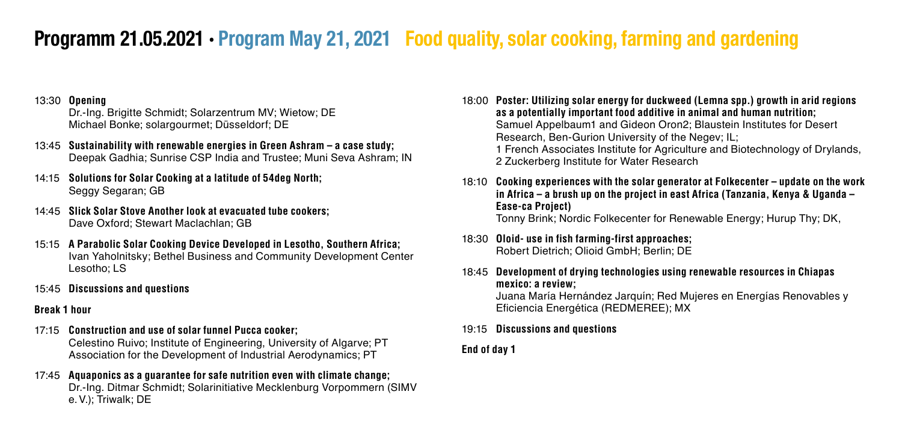## **Programm 21.05.2021 · Program May 21, 2021 · Food quality, solar cooking, farming and gardening**

#### 13:30 **Opening**

Dr.-Ing. Brigitte Schmidt; Solarzentrum MV; Wietow; DE Michael Bonke; solargourmet; Düsseldorf; DE

- 13:45 **Sustainability with renewable energies in Green Ashram a case study;**  Deepak Gadhia; Sunrise CSP India and Trustee; Muni Seva Ashram; IN
- 14:15 **Solutions for Solar Cooking at a latitude of 54deg North;**  Seggy Segaran; GB
- 14:45 **Slick Solar Stove Another look at evacuated tube cookers;**  Dave Oxford; Stewart Maclachlan; GB
- 15:15 **A Parabolic Solar Cooking Device Developed in Lesotho, Southern Africa;** Ivan Yaholnitsky; Bethel Business and Community Development Center Lesotho; LS
- 15:45 **Discussions and questions**

#### **Break 1 hour**

- 17:15 **Construction and use of solar funnel Pucca cooker;**  Celestino Ruivo; Institute of Engineering, University of Algarve; PT Association for the Development of Industrial Aerodynamics; PT
- 17:45 **Aquaponics as a guarantee for safe nutrition even with climate change;**  Dr.-Ing. Ditmar Schmidt; Solarinitiative Mecklenburg Vorpommern (SIMV e.V.); Triwalk; DE

18:00 **Poster: Utilizing solar energy for duckweed (Lemna spp.) growth in arid regions as a potentially important food additive in animal and human nutrition;** Samuel Appelbaum1 and Gideon Oron2; Blaustein Institutes for Desert Research, Ben-Gurion University of the Negev; IL; 1 French Associates Institute for Agriculture and Biotechnology of Drylands, 2 Zuckerberg Institute for Water Research

- 18:10 **Cooking experiences with the solar generator at Folkecenter update on the work in Africa – a brush up on the project in east Africa (Tanzania, Kenya & Uganda – Ease-ca Project)** Tonny Brink; Nordic Folkecenter for Renewable Energy; Hurup Thy; DK,
- 18:30 **Oloid- use in fish farming-first approaches;**  Robert Dietrich; Olioid GmbH; Berlin; DE
- 18:45 **Development of drying technologies using renewable resources in Chiapas mexico: a review;**

Juana María Hernández Jarquín; Red Mujeres en Energías Renovables y Eficiencia Energética (REDMEREE); MX

- 19:15 **Discussions and questions**
- **End of day 1**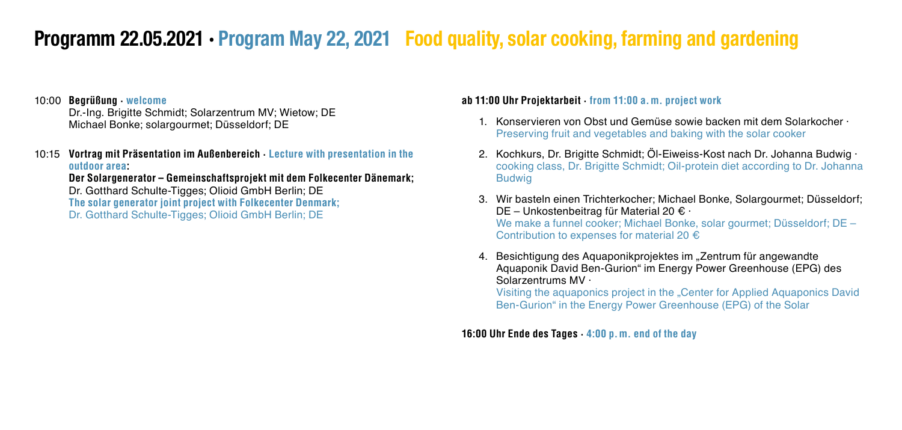## **Programm 22.05.2021 · Program May 22, 2021 · Food quality, solar cooking, farming and gardening**

#### 10:00 **Begrüßung · welcome**

Dr.-Ing. Brigitte Schmidt; Solarzentrum MV; Wietow; DE Michael Bonke; solargourmet; Düsseldorf; DE

10:15 **Vortrag mit Präsentation im Außenbereich · Lecture with presentation in the outdoor area:**

**Der Solargenerator – Gemeinschaftsprojekt mit dem Folkecenter Dänemark;**  Dr. Gotthard Schulte-Tigges; Olioid GmbH Berlin; DE **The solar generator joint project with Folkecenter Denmark;** Dr. Gotthard Schulte-Tigges; Olioid GmbH Berlin; DE

#### **ab 11:00 Uhr Projektarbeit · from 11:00 a.m. project work**

- 1. Konservieren von Obst und Gemüse sowie backen mit dem Solarkocher · Preserving fruit and vegetables and baking with the solar cooker
- 2. Kochkurs, Dr. Brigitte Schmidt; Öl-Eiweiss-Kost nach Dr. Johanna Budwig · cooking class, Dr. Brigitte Schmidt; Oil-protein diet according to Dr. Johanna Budwig
- 3. Wir basteln einen Trichterkocher; Michael Bonke, Solargourmet; Düsseldorf; DE – Unkostenbeitrag für Material 20 € · We make a funnel cooker; Michael Bonke, solar gourmet; Düsseldorf; DE – Contribution to expenses for material 20 €
- 4. Besichtigung des Aquaponikprojektes im "Zentrum für angewandte Aquaponik David Ben-Gurion" im Energy Power Greenhouse (EPG) des Solarzentrums MV ·

Visiting the aquaponics project in the "Center for Applied Aquaponics David Ben-Gurion" in the Energy Power Greenhouse (EPG) of the Solar

**16:00 Uhr Ende des Tages · 4:00 p.m. end of the day**